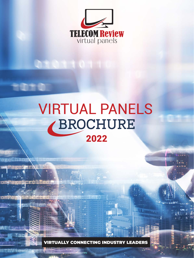

# VIRTUAL PANELS /BROCHURE 2022

VIRTUALLY CONNECTING INDUSTRY LEADERS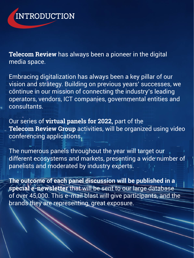

**Telecom Review** has always been a pioneer in the digital media space.

Embracing digitalization has always been a key pillar of our vision and strategy. Building on previous years' successes, we continue in our mission of connecting the industry's leading operators, vendors, ICT companies, governmental entities and consultants.

Our series of **virtual panels for 2022,** part of the **Telecom Review Group** activities, will be organized using video conferencing applications.

The numerous panels throughout the year will target our different ecosystems and markets, presenting a wide number of panelists and moderated by industry experts.

**The outcome of each panel discussion will be published in a special e-newsletter** that will be sent to our large database of over 45,000. This e-mail blast will give participants, and the brands they are representing, great exposure.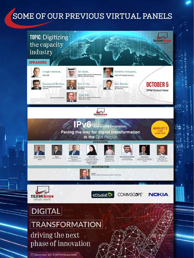## **SOME OF OUR PREVIOUS VIRTUAL PANELS**